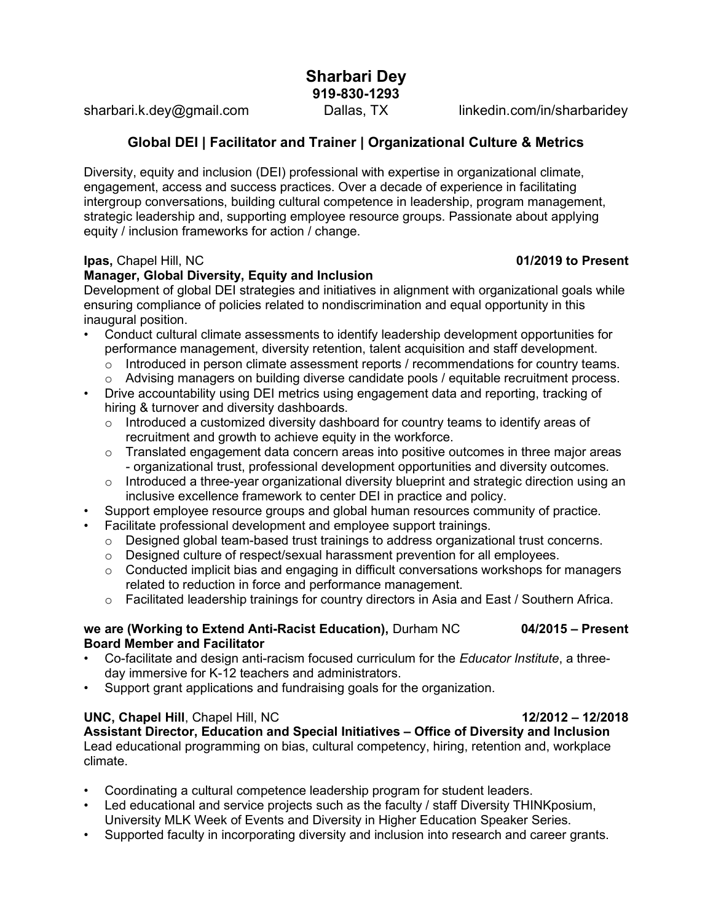Sharbari Dey 919-830-1293

sharbari.k.dey@gmail.com Dallas, TX linkedin.com/in/sharbaridey

# Global DEI | Facilitator and Trainer | Organizational Culture & Metrics

Diversity, equity and inclusion (DEI) professional with expertise in organizational climate, engagement, access and success practices. Over a decade of experience in facilitating intergroup conversations, building cultural competence in leadership, program management, strategic leadership and, supporting employee resource groups. Passionate about applying equity / inclusion frameworks for action / change.

#### **Ipas, Chapel Hill, NC** 01/2019 to Present

### Manager, Global Diversity, Equity and Inclusion

Development of global DEI strategies and initiatives in alignment with organizational goals while ensuring compliance of policies related to nondiscrimination and equal opportunity in this inaugural position.

- Conduct cultural climate assessments to identify leadership development opportunities for performance management, diversity retention, talent acquisition and staff development.
	- $\circ$  Introduced in person climate assessment reports / recommendations for country teams.
	- $\circ$  Advising managers on building diverse candidate pools / equitable recruitment process.
- Drive accountability using DEI metrics using engagement data and reporting, tracking of hiring & turnover and diversity dashboards.
	- o Introduced a customized diversity dashboard for country teams to identify areas of recruitment and growth to achieve equity in the workforce.
	- $\circ$  Translated engagement data concern areas into positive outcomes in three major areas - organizational trust, professional development opportunities and diversity outcomes.
	- $\circ$  Introduced a three-year organizational diversity blueprint and strategic direction using an inclusive excellence framework to center DEI in practice and policy.
- Support employee resource groups and global human resources community of practice.
- Facilitate professional development and employee support trainings.
	- $\circ$  Designed global team-based trust trainings to address organizational trust concerns.
	- $\circ$  Designed culture of respect/sexual harassment prevention for all employees.
	- o Conducted implicit bias and engaging in difficult conversations workshops for managers related to reduction in force and performance management.
	- $\circ$  Facilitated leadership trainings for country directors in Asia and East / Southern Africa.

#### we are (Working to Extend Anti-Racist Education), Durham NC 04/2015 – Present Board Member and Facilitator

- Co-facilitate and design anti-racism focused curriculum for the Educator Institute, a threeday immersive for K-12 teachers and administrators.
- Support grant applications and fundraising goals for the organization.

### UNC, Chapel Hill, Chapel Hill, NC 12/2012 – 12/2018

Assistant Director, Education and Special Initiatives – Office of Diversity and Inclusion Lead educational programming on bias, cultural competency, hiring, retention and, workplace climate.

- Coordinating a cultural competence leadership program for student leaders.
- Led educational and service projects such as the faculty / staff Diversity THINKposium, University MLK Week of Events and Diversity in Higher Education Speaker Series.
- Supported faculty in incorporating diversity and inclusion into research and career grants.